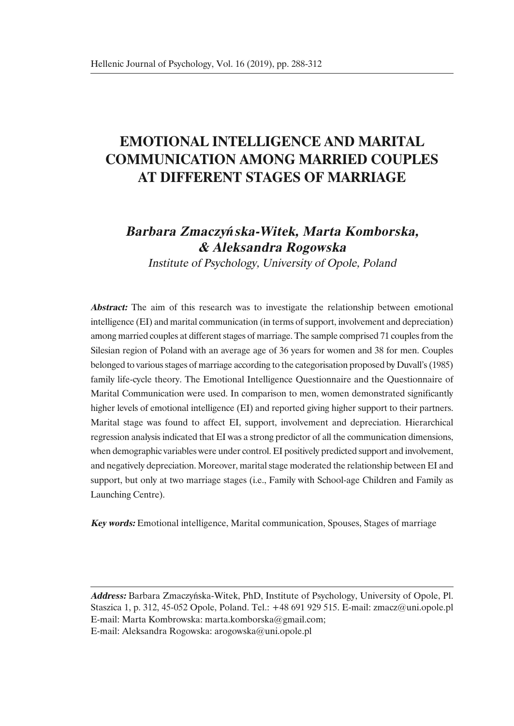# **EMOTIONAL INTELLIGENCE AND MARITAL COMMUNICATION AMONG MARRIED COUPLES AT DIFFERENT STAGES OF MARRIAGE**

## **Barbara Zmaczy***ń***ska-Witek, Marta Komborska, & Aleksandra Rogowska**

Institute of Psychology, University of Opole, Poland

**Abstract:** The aim of this research was to investigate the relationship between emotional intelligence (EI) and marital communication (in terms of support, involvement and depreciation) among married couples at different stages of marriage. The sample comprised 71 couples from the Silesian region of Poland with an average age of 36 years for women and 38 for men. Couples belonged to various stages of marriage according to the categorisation proposed by Duvall's (1985) family life-cycle theory. The Emotional Intelligence Questionnaire and the Questionnaire of Marital Communication were used. In comparison to men, women demonstrated significantly higher levels of emotional intelligence (EI) and reported giving higher support to their partners. Marital stage was found to affect EI, support, involvement and depreciation. Hierarchical regression analysis indicated that EI was a strong predictor of all the communication dimensions, when demographic variables were under control. EI positively predicted support and involvement, and negatively depreciation. Moreover, marital stage moderated the relationship between EI and support, but only at two marriage stages (i.e., Family with School-age Children and Family as Launching Centre).

**Key words:** Emotional intelligence, Marital communication, Spouses, Stages of marriage

**Address:** Barbara Zmaczyńska-Witek, PhD, Institute of Psychology, University of Opole, Pl. Staszica 1, p. 312, 45-052 Opole, Poland. Tel.: +48 691 929 515. E-mail: zmacz@uni.opole.pl E-mail: Marta Kombrowska: marta.komborska@gmail.com; E-mail: Aleksandra Rogowska: arogowska@uni.opole.pl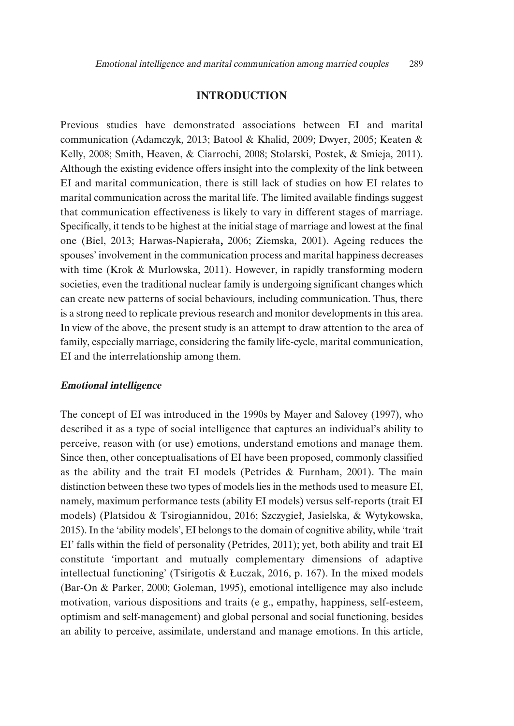## **INTRODUCTION**

Previous studies have demonstrated associations between EI and marital communication (Adamczyk, 2013; Batool & Khalid, 2009; Dwyer, 2005; Keaten & Kelly, 2008; Smith, Heaven, & Ciarrochi, 2008; Stolarski, Postek, & Smieja, 2011). Although the existing evidence offers insight into the complexity of the link between EI and marital communication, there is still lack of studies on how EI relates to marital communication across the marital life. The limited available findings suggest that communication effectiveness is likely to vary in different stages of marriage. Specifically, it tends to be highest at the initial stage of marriage and lowest at the final one (Biel, 2013; Harwas-Napierała, 2006; Ziemska, 2001). Ageing reduces the spouses' involvement in the communication process and marital happiness decreases with time (Krok & Murlowska, 2011). However, in rapidly transforming modern societies, even the traditional nuclear family is undergoing significant changes which can create new patterns of social behaviours, including communication. Thus, there is a strong need to replicate previous research and monitor developments in this area. In view of the above, the present study is an attempt to draw attention to the area of family, especially marriage, considering the family life-cycle, marital communication, EI and the interrelationship among them.

#### **Emotional intelligence**

The concept of EI was introduced in the 1990s by Mayer and Salovey (1997), who described it as a type of social intelligence that captures an individual's ability to perceive, reason with (or use) emotions, understand emotions and manage them. Since then, other conceptualisations of EI have been proposed, commonly classified as the ability and the trait EI models (Petrides & Furnham, 2001). The main distinction between these two types of models lies in the methods used to measure EI, namely, maximum performance tests (ability EI models) versus self-reports (trait EI models) (Platsidou & Tsirogiannidou, 2016; Szczygieł, Jasielska, & Wytykowska, 2015). In the 'ability models', EI belongs to the domain of cognitive ability, while 'trait EI' falls within the field of personality (Petrides, 2011); yet, both ability and trait EI constitute 'important and mutually complementary dimensions of adaptive intellectual functioning' (Tsirigotis & Łuczak, 2016, p. 167). In the mixed models (Bar-On & Parker, 2000; Goleman, 1995), emotional intelligence may also include motivation, various dispositions and traits (e g., empathy, happiness, self-esteem, optimism and self-management) and global personal and social functioning, besides an ability to perceive, assimilate, understand and manage emotions. In this article,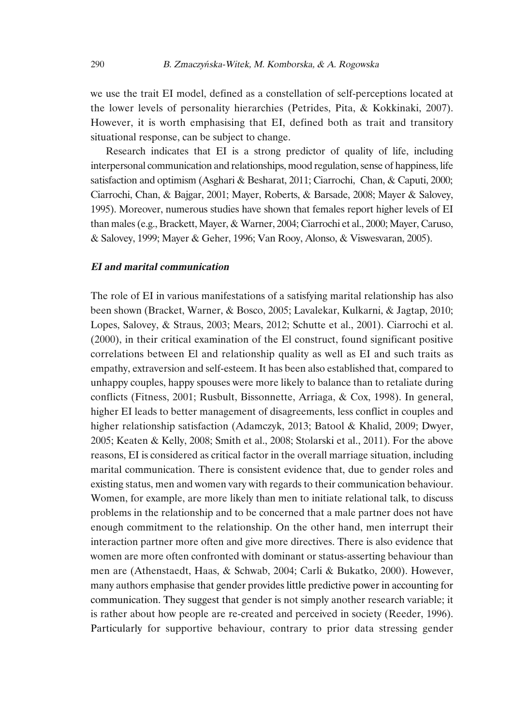we use the trait EI model, defined as a constellation of self-perceptions located at the lower levels of personality hierarchies (Petrides, Pita, & Kokkinaki, 2007). However, it is worth emphasising that EI, defined both as trait and transitory situational response, can be subject to change.

Research indicates that EI is a strong predictor of quality of life, including interpersonal communication and relationships, mood regulation, sense of happiness, life satisfaction and optimism (Asghari & Besharat, 2011; Ciarrochi, Chan, & Caputi, 2000; Ciarrochi, Chan, & Bajgar, 2001; Mayer, Roberts, & Barsade, 2008; Mayer & Salovey, 1995). Moreover, numerous studies have shown that females report higher levels of EI than males (e.g., Brackett, Mayer, & Warner, 2004; Ciarrochi et al., 2000; Mayer, Caruso, & Salovey, 1999; Mayer & Geher, 1996; Van Rooy, Alonso, & Viswesvaran, 2005).

#### **EI and marital communication**

The role of EI in various manifestations of a satisfying marital relationship has also been shown (Bracket, Warner, & Bosco, 2005; Lavalekar, Kulkarni, & Jagtap, 2010; Lopes, Salovey, & Straus, 2003; Mears, 2012; Schutte et al., 2001). Ciarrochi et al. (2000), in their critical examination of the El construct, found significant positive correlations between El and relationship quality as well as EI and such traits as empathy, extraversion and self-esteem. It has been also established that, compared to unhappy couples, happy spouses were more likely to balance than to retaliate during conflicts (Fitness, 2001; Rusbult, Bissonnette, Arriaga, & Cox, 1998). In general, higher EI leads to better management of disagreements, less conflict in couples and higher relationship satisfaction (Adamczyk, 2013; Batool & Khalid, 2009; Dwyer, 2005; Keaten & Kelly, 2008; Smith et al., 2008; Stolarski et al., 2011). For the above reasons, EI is considered as critical factor in the overall marriage situation, including marital communication. There is consistent evidence that, due to gender roles and existing status, men and women vary with regards to their communication behaviour. Women, for example, are more likely than men to initiate relational talk, to discuss problems in the relationship and to be concerned that a male partner does not have enough commitment to the relationship. On the other hand, men interrupt their interaction partner more often and give more directives. There is also evidence that women are more often confronted with dominant or status-asserting behaviour than men are (Athenstaedt, Haas, & Schwab, 2004; Carli & Bukatko, 2000). However, many authors emphasise that gender provides little predictive power in accounting for communication. They suggest that gender is not simply another research variable; it is rather about how people are re-created and perceived in society (Reeder, 1996). Particularly for supportive behaviour, contrary to prior data stressing gender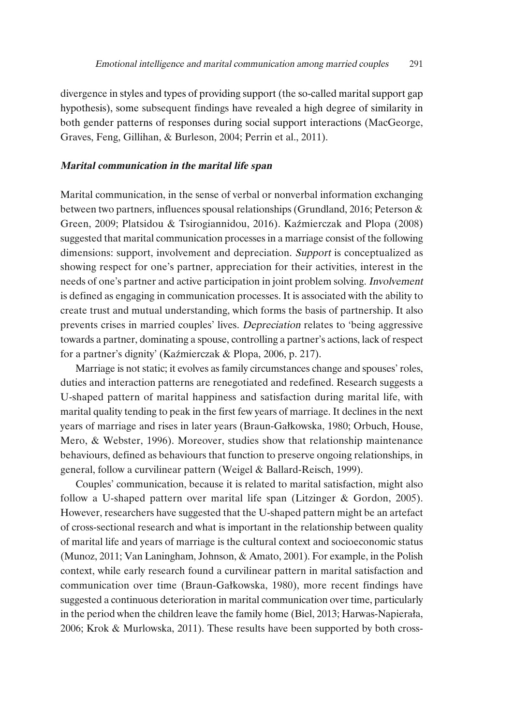divergence in styles and types of providing support (the so-called marital support gap hypothesis), some subsequent findings have revealed a high degree of similarity in both gender patterns of responses during social support interactions (MacGeorge, Graves, Feng, Gillihan, & Burleson, 2004; Perrin et al., 2011).

### **Marital communication in the marital life span**

Marital communication, in the sense of verbal or nonverbal information exchanging between two partners, influences spousal relationships (Grundland, 2016; Peterson & Green, 2009; Platsidou & Tsirogiannidou, 2016). Kaźmierczak and Plopa (2008) suggested that marital communication processes in a marriage consist of the following dimensions: support, involvement and depreciation. Support is conceptualized as showing respect for one's partner, appreciation for their activities, interest in the needs of one's partner and active participation in joint problem solving. Involvement is defined as engaging in communication processes. It is associated with the ability to create trust and mutual understanding, which forms the basis of partnership. It also prevents crises in married couples' lives. Depreciation relates to 'being aggressive towards a partner, dominating a spouse, controlling a partner's actions, lack of respect for a partner's dignity' (Kaźmierczak & Plopa, 2006, p. 217).

Marriage is not static; it evolves as family circumstances change and spouses' roles, duties and interaction patterns are renegotiated and redefined. Research suggests a U-shaped pattern of marital happiness and satisfaction during marital life, with marital quality tending to peak in the first few years of marriage. It declines in the next years of marriage and rises in later years (Braun-Gałkowska, 1980; Orbuch, House, Mero, & Webster, 1996). Moreover, studies show that relationship maintenance behaviours, defined as behaviours that function to preserve ongoing relationships, in general, follow a curvilinear pattern (Weigel & Ballard-Reisch, 1999).

Couples' communication, because it is related to marital satisfaction, might also follow a U-shaped pattern over marital life span (Litzinger & Gordon, 2005). However, researchers have suggested that the U-shaped pattern might be an artefact of cross-sectional research and what is important in the relationship between quality of marital life and years of marriage is the cultural context and socioeconomic status (Munoz, 2011; Van Laningham, Johnson, & Amato, 2001). For example, in the Polish context, while early research found a curvilinear pattern in marital satisfaction and communication over time (Braun-Gałkowska, 1980), more recent findings have suggested a continuous deterioration in marital communication over time, particularly in the period when the children leave the family home (Biel, 2013; Harwas-Napierała, 2006; Krok & Murlowska, 2011). These results have been supported by both cross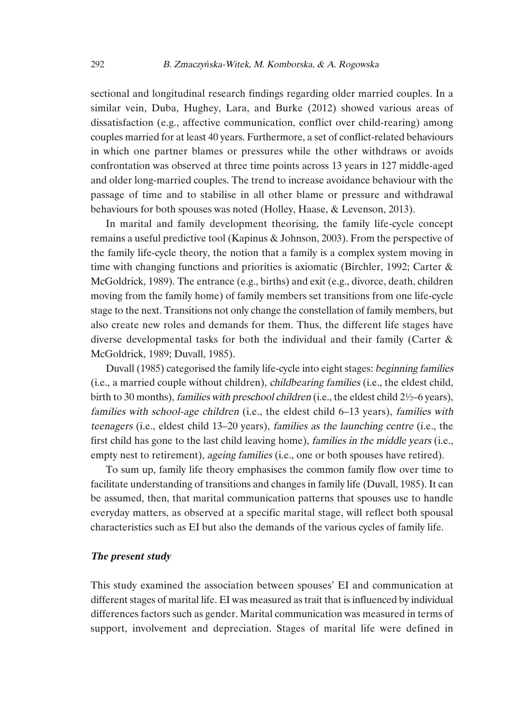sectional and longitudinal research findings regarding older married couples. In a similar vein, Duba, Hughey, Lara, and Burke (2012) showed various areas of dissatisfaction (e.g., affective communication, conflict over child-rearing) among couples married for at least 40 years. Furthermore, a set of conflict-related behaviours in which one partner blames or pressures while the other withdraws or avoids confrontation was observed at three time points across 13 years in 127 middle-aged and older long-married couples. The trend to increase avoidance behaviour with the passage of time and to stabilise in all other blame or pressure and withdrawal behaviours for both spouses was noted (Holley, Haase, & Levenson, 2013).

In marital and family development theorising, the family life-cycle concept remains a useful predictive tool (Kapinus & Johnson, 2003). From the perspective of the family life-cycle theory, the notion that a family is a complex system moving in time with changing functions and priorities is axiomatic (Birchler, 1992; Carter & McGoldrick, 1989). The entrance (e.g., births) and exit (e.g., divorce, death, children moving from the family home) of family members set transitions from one life-cycle stage to the next. Transitions not only change the constellation of family members, but also create new roles and demands for them. Thus, the different life stages have diverse developmental tasks for both the individual and their family (Carter & McGoldrick, 1989; Duvall, 1985).

Duvall (1985) categorised the family life-cycle into eight stages: beginning families (i.e., a married couple without children), childbearing families (i.e., the eldest child, birth to 30 months), families with preschool children (i.e., the eldest child  $2\frac{1}{2}$ –6 years), families with school-age children (i.e., the eldest child 6–13 years), families with teenagers (i.e., eldest child 13–20 years), families as the launching centre (i.e., the first child has gone to the last child leaving home), *families in the middle years* (i.e., empty nest to retirement), ageing families (i.e., one or both spouses have retired).

To sum up, family life theory emphasises the common family flow over time to facilitate understanding of transitions and changes in family life (Duvall, 1985). It can be assumed, then, that marital communication patterns that spouses use to handle everyday matters, as observed at a specific marital stage, will reflect both spousal characteristics such as EI but also the demands of the various cycles of family life.

## **The present study**

This study examined the association between spouses' EI and communication at different stages of marital life. EI was measured as trait that is influenced by individual differences factors such as gender. Marital communication was measured in terms of support, involvement and depreciation. Stages of marital life were defined in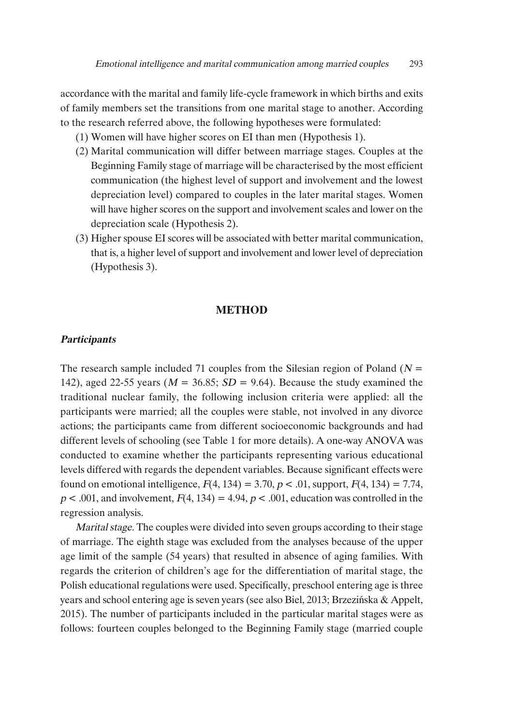accordance with the marital and family life-cycle framework in which births and exits of family members set the transitions from one marital stage to another. According to the research referred above, the following hypotheses were formulated:

- (1) Women will have higher scores on EI than men (Hypothesis 1).
- (2) Marital communication will differ between marriage stages. Couples at the Beginning Family stage of marriage will be characterised by the most efficient communication (the highest level of support and involvement and the lowest depreciation level) compared to couples in the later marital stages. Women will have higher scores on the support and involvement scales and lower on the depreciation scale (Hypothesis 2).
- (3) Higher spouse EI scores will be associated with better marital communication, that is, a higher level of support and involvement and lowerlevel of depreciation (Hypothesis 3).

## **METHOD**

## **Participants**

The research sample included 71 couples from the Silesian region of Poland ( $N =$ 142), aged 22-55 years ( $M = 36.85$ ;  $SD = 9.64$ ). Because the study examined the traditional nuclear family, the following inclusion criteria were applied: all the participants were married; all the couples were stable, not involved in any divorce actions; the participants came from different socioeconomic backgrounds and had different levels of schooling (see Table 1 for more details). A one-way ANOVA was conducted to examine whether the participants representing various educational levels differed with regards the dependent variables. Because significant effects were found on emotional intelligence,  $F(4, 134) = 3.70, p < .01$ , support,  $F(4, 134) = 7.74$ ,  $p < .001$ , and involvement,  $F(4, 134) = 4.94$ ,  $p < .001$ , education was controlled in the regression analysis.

Marital stage. The couples were divided into seven groups according to their stage of marriage. The eighth stage was excluded from the analyses because of the upper age limit of the sample (54 years) that resulted in absence of aging families. With regards the criterion of children's age for the differentiation of marital stage, the Polish educational regulations were used. Specifically, preschool entering age is three years and school entering age is seven years (see also Biel, 2013; Brzezińska & Appelt, 2015). The number of participants included in the particular marital stages were as follows: fourteen couples belonged to the Beginning Family stage (married couple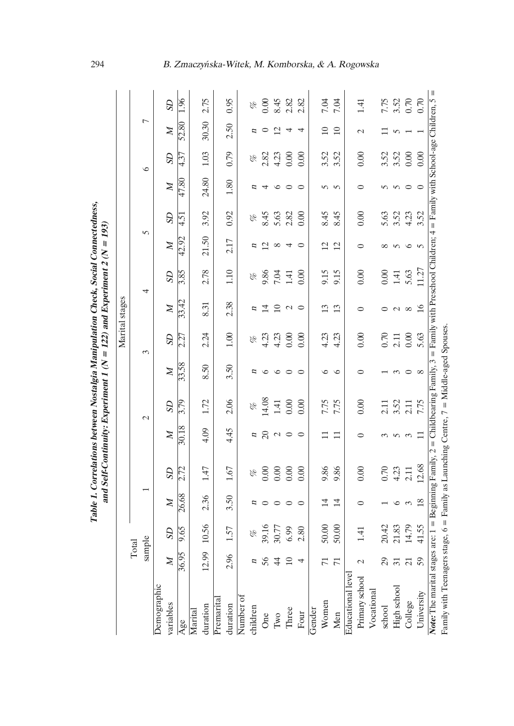|   | $N = 193$ |
|---|-----------|
| ï | l<br>l    |
|   | :         |

|                                                                                                                                                                            |                 |                |                |           |                |           |                |           | Marital stages  |           |                |           |                |                |                          |           |
|----------------------------------------------------------------------------------------------------------------------------------------------------------------------------|-----------------|----------------|----------------|-----------|----------------|-----------|----------------|-----------|-----------------|-----------|----------------|-----------|----------------|----------------|--------------------------|-----------|
|                                                                                                                                                                            | Total           |                |                |           |                |           |                |           |                 |           |                |           |                |                |                          |           |
|                                                                                                                                                                            | sample          |                |                |           |                | $\sim$    |                | 3         |                 | 4         | 5              |           |                | $\circ$        | $\overline{a}$           |           |
| Demographic<br>variables                                                                                                                                                   | $\overline{M}$  | $\overline{c}$ | $\mathbb{Z}$   | <b>GS</b> | $\overline{M}$ | <b>GS</b> | $\overline{M}$ | <b>GS</b> | $\mathbb{N}$    | <b>SD</b> | $\mathbb{N}$   | <b>GS</b> | $\mathbb{Z}$   | $\overline{c}$ | $\mathbb{Z}$             | <b>GS</b> |
| Age                                                                                                                                                                        | 36.95           | 9.65           | 26.68          | 2.72      | 30.18          | 3.79      | 33.58          | 2.27      | 33.42           | 3.85      | 42.92          | 4.51      | $\sqrt{47.80}$ | 4.37           | 52.80                    | 1.96      |
| Marital                                                                                                                                                                    |                 |                |                |           |                |           |                |           |                 |           |                |           |                |                |                          |           |
| duration                                                                                                                                                                   | 12.99           | 10.56          | 2.36           | 1.47      | 4.09           | 1.72      | 8.50           | 2.24      | 8.31            | 2.78      | 21.50          | 3.92      | 24.80          | 1.03           | 30.30                    | 2.75      |
| Premarita                                                                                                                                                                  |                 |                |                |           |                |           |                |           |                 |           |                |           |                |                |                          |           |
| duration                                                                                                                                                                   | 2.96            | 1.57           | 3.50           | 1.67      | 4.45           | 2.06      | 3.50           | 1.00      | 2.38            | 1.10      | 2.17           | 0.92      | 1.80           | 0.79           | 2.50                     | 0.95      |
| Number of                                                                                                                                                                  |                 |                |                |           |                |           |                |           |                 |           |                |           |                |                |                          |           |
| children                                                                                                                                                                   | п               | P              | n              | P         | п              | P         | n              | P         | п               | P         | п              | P         |                | P              |                          | P         |
| One                                                                                                                                                                        | 56              | 39.16          |                | 0.00      | $\Omega$       | 14.08     | ७              | 4.23      | $\overline{1}$  | 9.86      | 2              | 8.45      | 4              | 2.82           | $\circ$                  | 0.00      |
| $\operatorname{Two}$                                                                                                                                                       | $\overline{4}$  | 30.77          |                | 0.00      | $\mathcal{L}$  | 1.41      | $\circ$        | 4.23      | $\overline{10}$ | 7.04      | ${}^{\circ}$   | 5.63      | ص              | 4.23           | $\overline{\mathcal{C}}$ | 8.45      |
| Three                                                                                                                                                                      | $\Xi$           | 6.99           | っ              | 0.00      | $\circ$        | 0.00      | $\circ$        | 0.00      | $\mathcal{L}$   | 1.41      | 4              | 2.82      | $\circ$        | 0.00           | 4                        | 2.82      |
| Four                                                                                                                                                                       | 4               | 2.80           | $\circ$        | 0.00      | $\circ$        | 0.00      | $\circ$        | 0.00      | $\circ$         | 0.00      | ⊂              | 0.00      | $\circ$        | 0.00           | 4                        | 2.82      |
| Gender                                                                                                                                                                     |                 |                |                |           |                |           |                |           |                 |           |                |           |                |                |                          |           |
| Women                                                                                                                                                                      | $\overline{7}$  | 50.00          | $\overline{1}$ | 9.86      |                | 7.75      | ৩              | 4.23      | $\mathbf{13}$   | 9.15      | $\overline{c}$ | 8.45      | $\Omega$       | 3.52           | $\Xi$                    | 7.04      |
| Men                                                                                                                                                                        | $\overline{7}$  | 50.00          | 14             | 9.86      | $\Box$         | 7.75      | $\circ$        | 4.23      | 13              | 9.15      | 12             | 8.45      | $\overline{5}$ | 3.52           | $\Box$                   | 7.04      |
| Educational level                                                                                                                                                          |                 |                |                |           |                |           |                |           |                 |           |                |           |                |                |                          |           |
| Primary school                                                                                                                                                             | $\mathcal{C}$   | 1.41           | 0              | 0.00      |                | 0.00      | ⊂              | 0.00      | 0               | 0.00      | 0              | 0.00      | 0              | 0.00           | $\mathcal{C}$            | 1.41      |
| Vocational                                                                                                                                                                 |                 |                |                |           |                |           |                |           |                 |           |                |           |                |                |                          |           |
| school                                                                                                                                                                     | 29              | 20.42          |                | 0.70      |                | 2.11      |                | 0.70      |                 | 0.00      | $\infty$       | 5.63      | 5              | 3.52           |                          | 7.75      |
| High school                                                                                                                                                                | $\overline{31}$ | 21.83          |                | 4.23      | $\sqrt{ }$     | 3.52      | $\infty$       | 2.11      | $\mathcal{L}$   | 1.41      | n              | 3.52      | $\sigma$       | 3.52           |                          | 3.52      |
| College                                                                                                                                                                    | $\overline{c}$  | 14.79          | $\epsilon$     | 2.11      | 3              | 2.11      | $\circ$        | 0.00      | $\infty$        | 5.63      | $\circ$        | 4.23      | $\circ$        | 0.00           |                          | 0.70      |
| University                                                                                                                                                                 | 59              | 41.55          | 18             | 12.68     | $\Box$         | 7.75      | $\infty$       | 5.63      | 16              | 11.27     | $\sim$         | 3.52      | $\circ$        | 0.00           |                          | 0.70      |
| <b>Note:</b> The marital stages are: $1 =$ Beginning Family, $2 =$ Childbearing Family, $3 =$ Family with Preschool Children; $4 =$ Family with School-age Children, $5 =$ |                 |                |                |           |                |           |                |           |                 |           |                |           |                |                |                          |           |
| Family with Teenagers stage, 6 = Family as Launching Centre, 7 = Middle-aged Spouses                                                                                       |                 |                |                |           |                |           |                |           |                 |           |                |           |                |                |                          |           |

294 B. Zmaczy*ń*ska-Witek, M. Komborska, & A. Rogowska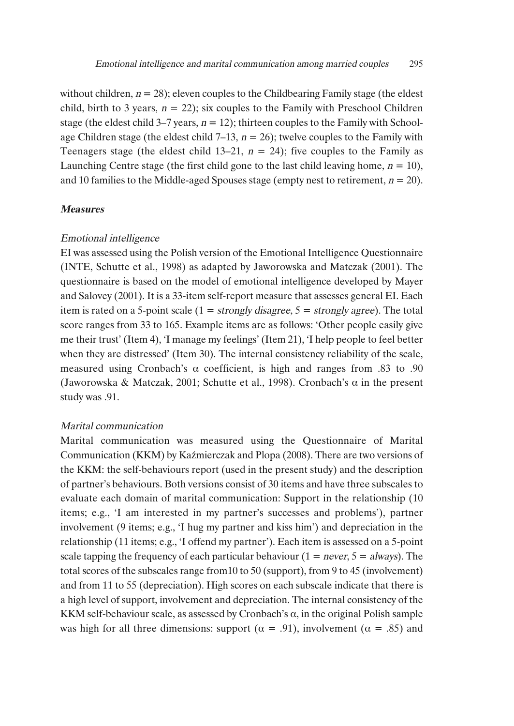without children,  $n = 28$ ); eleven couples to the Childbearing Family stage (the eldest child, birth to 3 years,  $n = 22$ ); six couples to the Family with Preschool Children stage (the eldest child 3–7 years,  $n = 12$ ); thirteen couples to the Family with Schoolage Children stage (the eldest child  $7-13$ ,  $n = 26$ ); twelve couples to the Family with Teenagers stage (the eldest child 13–21,  $n = 24$ ); five couples to the Family as Launching Centre stage (the first child gone to the last child leaving home,  $n = 10$ ), and 10 families to the Middle-aged Spouses stage (empty nest to retirement,  $n = 20$ ).

## **Measures**

#### Emotional intelligence

EI was assessed using the Polish version of the Emotional Intelligence Questionnaire (INTE, Schutte et al., 1998) as adapted by Jaworowska and Matczak (2001). The questionnaire is based on the model of emotional intelligence developed by Mayer and Salovey (2001). It is a 33-item self-report measure that assesses general EI. Each item is rated on a 5-point scale  $(1 = strongly disagree, 5 = strongly agree)$ . The total score ranges from 33 to 165. Example items are as follows: 'Other people easily give me their trust' (Item 4), 'I manage my feelings' (Item 21), 'I help people to feel better when they are distressed' (Item 30). The internal consistency reliability of the scale, measured using Cronbach's  $\alpha$  coefficient, is high and ranges from .83 to .90 (Jaworowska & Matczak, 2001; Schutte et al., 1998). Cronbach's  $\alpha$  in the present study was .91.

#### Marital communication

Marital communication was measured using the Questionnaire of Marital Communication (KKM) by Kaźmierczak and Plopa (2008). There are two versions of the KKM: the self-behaviours report (used in the present study) and the description of partner's behaviours. Both versions consist of 30 items and have three subscales to evaluate each domain of marital communication: Support in the relationship (10 items; e.g., 'I am interested in my partner's successes and problems'), partner involvement (9 items; e.g., 'I hug my partner and kiss him') and depreciation in the relationship (11 items; e.g., 'I offend my partner'). Each item is assessed on a 5-point scale tapping the frequency of each particular behaviour ( $1 = never, 5 = always$ ). The total scores of the subscales range from10 to 50 (support), from 9 to 45 (involvement) and from 11 to 55 (depreciation). High scores on each subscale indicate that there is a high level of support, involvement and depreciation. The internal consistency of the KKM self-behaviour scale, as assessed by Cronbach's  $\alpha$ , in the original Polish sample was high for all three dimensions: support ( $\alpha$  = .91), involvement ( $\alpha$  = .85) and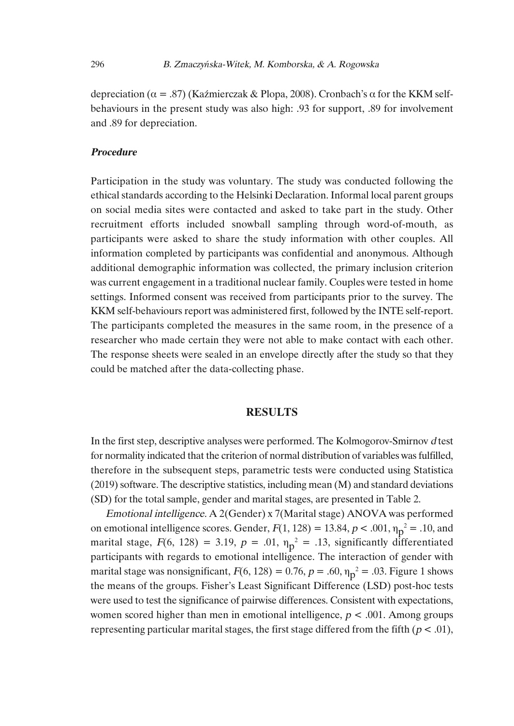depreciation ( $\alpha = .87$ ) (Kaźmierczak & Plopa, 2008). Cronbach's  $\alpha$  for the KKM selfbehaviours in the present study was also high: .93 for support, .89 for involvement and .89 for depreciation.

#### **Procedure**

Participation in the study was voluntary. The study was conducted following the ethical standards according to the Helsinki Declaration. Informal local parent groups on social media sites were contacted and asked to take part in the study. Other recruitment efforts included snowball sampling through word-of-mouth, as participants were asked to share the study information with other couples. All information completed by participants was confidential and anonymous. Although additional demographic information was collected, the primary inclusion criterion was current engagement in a traditional nuclear family. Couples were tested in home settings. Informed consent was received from participants prior to the survey. The KKM self-behaviours report was administered first, followed by the INTE self-report. The participants completed the measures in the same room, in the presence of a researcher who made certain they were not able to make contact with each other. The response sheets were sealed in an envelope directly after the study so that they could be matched after the data-collecting phase.

## **RESULTS**

In the first step, descriptive analyses were performed. The Kolmogorov-Smirnov <sup>d</sup> test for normality indicated that the criterion of normal distribution of variables wasfulfilled, therefore in the subsequent steps, parametric tests were conducted using Statistica  $(2019)$  software. The descriptive statistics, including mean  $(M)$  and standard deviations (SD) for the total sample, gender and marital stages, are presented in Table 2.

Emotional intelligence. A 2(Gender) x 7(Marital stage) ANOVA was performed on emotional intelligence scores. Gender,  $F(1, 128) = 13.84$ ,  $p < .001$ ,  $\eta_p^2 = .10$ , and marital stage,  $F(6, 128) = 3.19$ ,  $p = .01$ ,  $\eta_p^2 = .13$ , significantly differentiated participants with regards to emotional intelligence. The interaction of gender with marital stage was nonsignificant,  $F(6, 128) = 0.76$ ,  $p = .60$ ,  $\eta_p^2 = .03$ . Figure 1 shows the means of the groups. Fisher's Least Significant Difference (LSD) post-hoc tests were used to test the significance of pairwise differences. Consistent with expectations, women scored higher than men in emotional intelligence,  $p < .001$ . Among groups representing particular marital stages, the first stage differed from the fifth ( $p < .01$ ),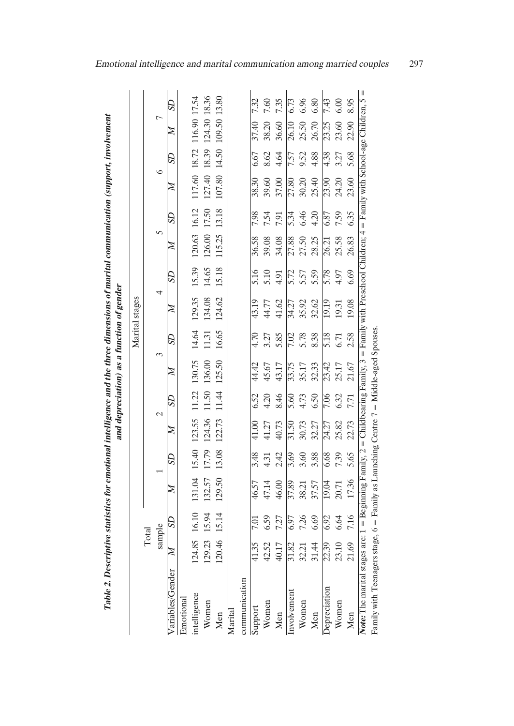|                                                                                                                                                                     |              |         |        |         |              |               |        |         | Marital stages |         |              |            |         |         |                           |      |
|---------------------------------------------------------------------------------------------------------------------------------------------------------------------|--------------|---------|--------|---------|--------------|---------------|--------|---------|----------------|---------|--------------|------------|---------|---------|---------------------------|------|
|                                                                                                                                                                     | Total        |         |        |         |              |               |        |         |                |         |              |            |         |         |                           |      |
|                                                                                                                                                                     | sample       |         |        |         |              | $\mathcal{L}$ |        |         |                |         | 5            |            | $\circ$ |         |                           |      |
| Variables/Gender                                                                                                                                                    | $\mathbb{Z}$ | $^{5D}$ | z      | $^{5D}$ | $\mathbb{Z}$ | $^{5D}$       | z      | $^{5D}$ | z              | $^{5D}$ | z            | $^{5D}$    | Z       | $^{5D}$ | z                         | SD   |
| Emotional                                                                                                                                                           |              |         |        |         |              |               |        |         |                |         |              |            |         |         |                           |      |
| intelligence                                                                                                                                                        | 124.85       | 16.10   | 131.04 | 15.40   | 123.55       | 11.22         | 130.75 | 14.64   | 129.35         | 15.39   | 120.63 16.12 |            |         |         | 117.60 18.72 116.90 17.54 |      |
| Women                                                                                                                                                               | 129.23       | 15.94   | 132.57 | 17.79   | 124.36       | 11.50         | 136.00 | 11.31   | 134.08         | 14.65   | 126.00       | 17.50      | 127.40  |         | 18.39 124.30 18.36        |      |
| Men                                                                                                                                                                 | 120.46       | 15.14   | 129.50 | 13.08   | 122.73       | 11.44         | 125.50 | 16.65   | 124.62         | 15.18   | 115.25       | 13.18      |         |         | 107.80 14.50 109.50 13.80 |      |
| Marita                                                                                                                                                              |              |         |        |         |              |               |        |         |                |         |              |            |         |         |                           |      |
| communication                                                                                                                                                       |              |         |        |         |              |               |        |         |                |         |              |            |         |         |                           |      |
| Support                                                                                                                                                             | 41.35        |         | 46.57  | 3.48    | 41.00        | 6.52          | 44.42  | 4.70    | 43.19          | 5.16    | 36.58        | 7.98       | 38.30   | 6.67    | 37.40                     | 7.32 |
| Women                                                                                                                                                               | 42.52        | 6.59    | 47.14  | 4.31    | 11.27        | 4.20          | 45.67  | 3.27    | 44.77          | 5.10    | 39.08        | 7.54       | 39.60   | 8.62    | 38.20                     | 7.60 |
| Men                                                                                                                                                                 | 40.17        | 7.27    | 46.00  | 2.42    | 40.73        | 8.46          | 43.17  | 5.85    | 41.62          | 4.91    | 34.08        | <b>191</b> | 37.00   | 4.64    | 36.60                     | 7.35 |
| Involvement                                                                                                                                                         | 31.82        | 6.97    | 37.89  | 3.69    | 31.50        | 5.60          | 33.75  | 7.02    | 34.27          | 5.72    | 27.88        | 5.34       | 27.80   | 7.57    | 26.10                     | 6.73 |
| Women                                                                                                                                                               | 32.21        | 7.26    | 38.21  | 3.60    | 30.73        | 4.73          | 35.17  | 5.78    | 35.92          | 5.57    | 27.50        | 6.46       | 30.20   | 9.52    | 25.50                     | 6.96 |
| Men                                                                                                                                                                 | 31.44        | 6.69    | 37.57  | 3.88    | 32.27        | 6.50          | 32.33  | 8.38    | 32.62          | 5.59    | 28.25        | 4.20       | 25.40   | 4.88    | 26.70                     | 6.80 |
| Depreciation                                                                                                                                                        | 22.39        | 6.92    | 19.04  | 6.68    | 24.27        | 7.06          | 23.42  | 5.18    | 19.19          | 5.78    | 26.21        | 6.87       | 23.90   | 4.38    | 23.25                     | 7.43 |
| Women                                                                                                                                                               | 23.10        | 6.64    | 20.71  | 7.39    | 25.82        | 6.32          | 25.17  | 6.71    | 19.31          | 4.97    | 25.58        | 7.59       | 24.20   | 3.27    | 23.60                     | 6.00 |
| Men                                                                                                                                                                 | 21.69        | 7.16    | 17.36  | 5.65    | 22.73        | 7.71          | 21.67  | 2.58    | 19.08          | 6.69    | 26.83        | 6.35       | 23.60   | 5.68    | 22.90                     | 8.95 |
| Note: The marital stages are: $1 =$ Beginning Family, $2 =$ Childbearing Family, $3 =$ Family with Preschool Children; $4 =$ Family with School-age Children; $5 =$ |              |         |        |         |              |               |        |         |                |         |              |            |         |         |                           |      |
| Family with Teenagers stage, 6 = Family as Launching Centre 7 = Middle-aged Spouses.                                                                                |              |         |        |         |              |               |        |         |                |         |              |            |         |         |                           |      |
|                                                                                                                                                                     |              |         |        |         |              |               |        |         |                |         |              |            |         |         |                           |      |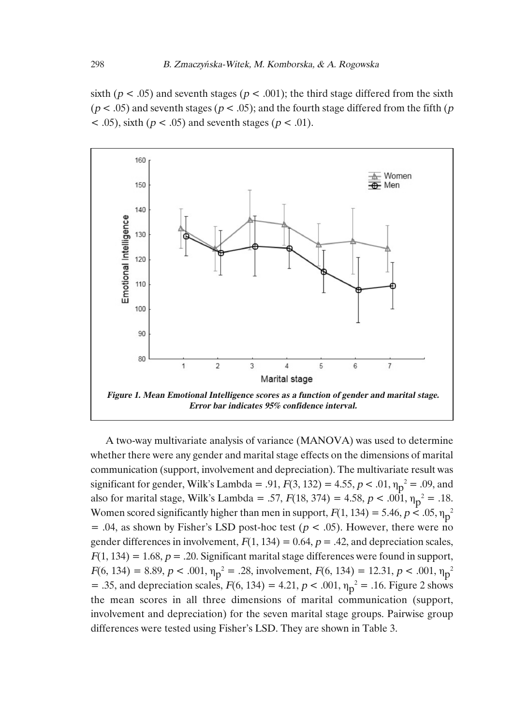sixth ( $p < .05$ ) and seventh stages ( $p < .001$ ); the third stage differed from the sixth  $(p < .05)$  and seventh stages  $(p < .05)$ ; and the fourth stage differed from the fifth  $(p \le 0.05)$  $\leq$  .05), sixth ( $p \leq$  .05) and seventh stages ( $p \leq$  .01).



A two-way multivariate analysis of variance (MANOVA) was used to determine whether there were any gender and marital stage effects on the dimensions of marital communication (support, involvement and depreciation). The multivariate result was significant for gender, Wilk's Lambda = .91,  $F(3, 132) = 4.55$ ,  $p < .01$ ,  $\eta_p^2 = .09$ , and also for marital stage, Wilk's Lambda = .57,  $F(18, 374) = 4.58$ ,  $p < .001$ ,  $\eta_p^2 = .18$ . Women scored significantly higher than men in support,  $F(1, 134) = 5.46$ ,  $p < .05$ ,  $\eta_p^2$  $= .04$ , as shown by Fisher's LSD post-hoc test ( $p < .05$ ). However, there were no gender differences in involvement,  $F(1, 134) = 0.64$ ,  $p = .42$ , and depreciation scales,  $F(1, 134) = 1.68$ ,  $p = .20$ . Significant marital stage differences were found in support,  $F(6, 134) = 8.89, p < .001, \eta_p^2 = .28$ , involvement,  $F(6, 134) = 12.31, p < .001, \eta_p^2$ = .35, and depreciation scales,  $F(6, 134) = 4.21$ ,  $p < .001$ ,  $\eta_p^2 = .16$ . Figure 2 shows the mean scores in all three dimensions of marital communication (support, involvement and depreciation) for the seven marital stage groups. Pairwise group differences were tested using Fisher's LSD. They are shown in Table 3.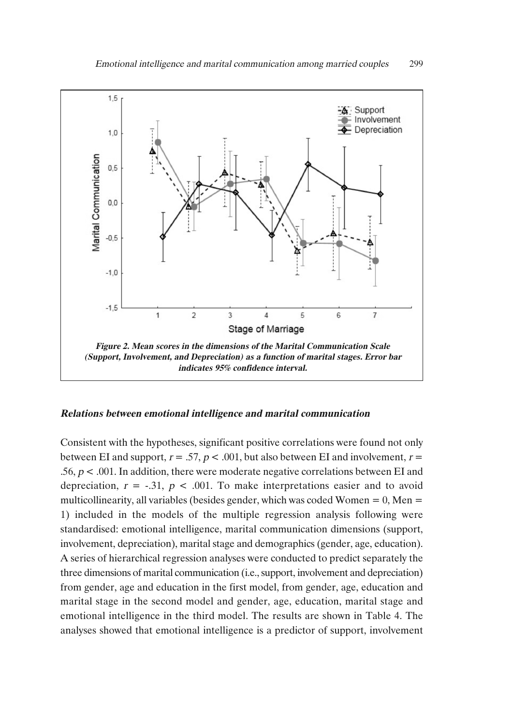

#### **Relations between emotional intelligence and marital communication**

Consistent with the hypotheses, significant positive correlations were found not only between EI and support,  $r = .57$ ,  $p < .001$ , but also between EI and involvement,  $r =$ .56,  $p < .001$ . In addition, there were moderate negative correlations between EI and depreciation,  $r = -.31$ ,  $p < .001$ . To make interpretations easier and to avoid multicollinearity, all variables (besides gender, which was coded Women  $= 0$ , Men  $=$ 1) included in the models of the multiple regression analysis following were standardised: emotional intelligence, marital communication dimensions (support, involvement, depreciation), marital stage and demographics (gender, age, education). A series of hierarchical regression analyses were conducted to predict separately the three dimensions of marital communication (i.e., support, involvement and depreciation) from gender, age and education in the first model, from gender, age, education and marital stage in the second model and gender, age, education, marital stage and emotional intelligence in the third model. The results are shown in Table 4. The analyses showed that emotional intelligence is a predictor of support, involvement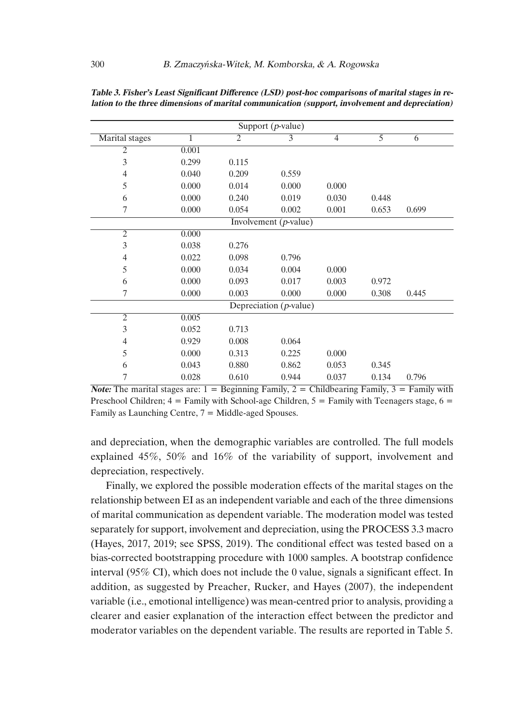|                |                |                | Support $(p$ -value)      |                |       |       |
|----------------|----------------|----------------|---------------------------|----------------|-------|-------|
| Marital stages | $\overline{1}$ | $\overline{2}$ | 3                         | $\overline{4}$ | 5     | 6     |
| $\overline{2}$ | 0.001          |                |                           |                |       |       |
| 3              | 0.299          | 0.115          |                           |                |       |       |
| 4              | 0.040          | 0.209          | 0.559                     |                |       |       |
| 5              | 0.000          | 0.014          | 0.000                     | 0.000          |       |       |
| 6              | 0.000          | 0.240          | 0.019                     | 0.030          | 0.448 |       |
| 7              | 0.000          | 0.054          | 0.002                     | 0.001          | 0.653 | 0.699 |
|                |                |                | Involvement $(p$ -value)  |                |       |       |
| $\overline{2}$ | 0.000          |                |                           |                |       |       |
| 3              | 0.038          | 0.276          |                           |                |       |       |
| $\overline{4}$ | 0.022          | 0.098          | 0.796                     |                |       |       |
| 5              | 0.000          | 0.034          | 0.004                     | 0.000          |       |       |
| 6              | 0.000          | 0.093          | 0.017                     | 0.003          | 0.972 |       |
| 7              | 0.000          | 0.003          | 0.000                     | 0.000          | 0.308 | 0.445 |
|                |                |                | Depreciation $(p$ -value) |                |       |       |
| $\overline{2}$ | 0.005          |                |                           |                |       |       |
| 3              | 0.052          | 0.713          |                           |                |       |       |
| 4              | 0.929          | 0.008          | 0.064                     |                |       |       |
| 5              | 0.000          | 0.313          | 0.225                     | 0.000          |       |       |
| 6              | 0.043          | 0.880          | 0.862                     | 0.053          | 0.345 |       |
| 7              | 0.028          | 0.610          | 0.944                     | 0.037          | 0.134 | 0.796 |

**Table 3. Fisher's Least Significant Difference (LSD) post-hoc comparisons of marital stages in relation to the three dimensions of marital communication (support, involvement and depreciation)**

**Note:** The marital stages are:  $1 =$  Beginning Family,  $2 =$  Childbearing Family,  $3 =$  Family with Preschool Children;  $4 =$  Family with School-age Children,  $5 =$  Family with Teenagers stage,  $6 =$ Family as Launching Centre,  $7 =$  Middle-aged Spouses.

and depreciation, when the demographic variables are controlled. The full models explained 45%, 50% and 16% of the variability of support, involvement and depreciation, respectively.

Finally, we explored the possible moderation effects of the marital stages on the relationship between EI as an independent variable and each of the three dimensions of marital communication as dependent variable. The moderation model was tested separately for support, involvement and depreciation, using the PROCESS 3.3 macro (Hayes, 2017, 2019; see SPSS, 2019). The conditional effect was tested based on a bias-corrected bootstrapping procedure with 1000 samples. A bootstrap confidence interval (95% CI), which does not include the 0 value, signals a significant effect. In addition, as suggested by Preacher, Rucker, and Hayes (2007), the independent variable (i.e., emotional intelligence) was mean-centred prior to analysis, providing a clearer and easier explanation of the interaction effect between the predictor and moderator variables on the dependent variable. The results are reported in Table 5.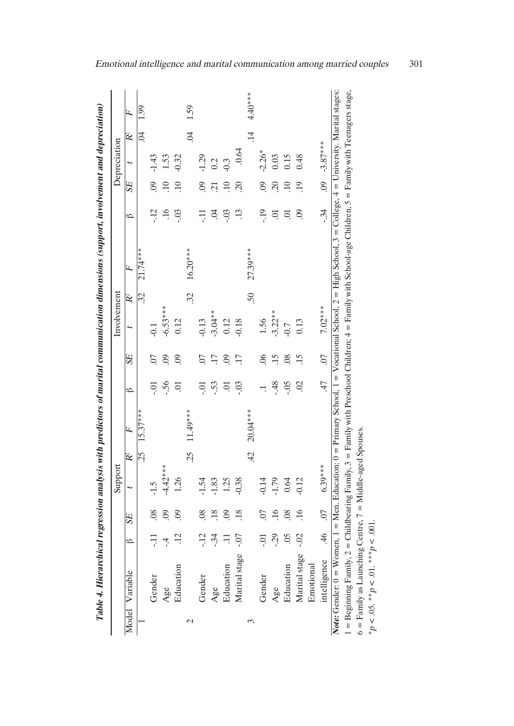|               |                                                                                                                                                                            |                           |                 | Support    |                |            |                |                 | Involvement |                 |            |                     |                       | Depreciation |            |           |
|---------------|----------------------------------------------------------------------------------------------------------------------------------------------------------------------------|---------------------------|-----------------|------------|----------------|------------|----------------|-----------------|-------------|-----------------|------------|---------------------|-----------------------|--------------|------------|-----------|
| Model         | Variable                                                                                                                                                                   | ó                         | <b>SE</b>       |            | $\mathbb{R}^2$ | F          | $\circ$        | <b>SE</b>       |             | $R^2$           | L,         | $\circ$             | SE <sub></sub>        |              | Ř          | Ŀ,        |
|               |                                                                                                                                                                            |                           |                 |            | 25             | $15.37***$ |                |                 |             | $\overline{32}$ | $21.74***$ |                     |                       |              | S.         | 1.99      |
|               | Gender                                                                                                                                                                     | Ę                         | $\overline{08}$ | $-1.5$     |                |            | $\overline{0}$ | 50              |             |                 |            | $-12$               | $\overline{0}$        | $-1.43$      |            |           |
|               | Age                                                                                                                                                                        | $\dot{=}$                 | $\overline{0}$  | $-4.42***$ |                |            | $-56$          | $\overline{0}$  | $-6.53***$  |                 |            | $\ddot{=}$          | $\Xi$                 | 1.53         |            |           |
|               | Education                                                                                                                                                                  | $\ddot{12}$               | $\overline{0}$  | 1.26       |                |            | $\overline{C}$ | $\overline{0}$  | 0.12        |                 |            | $-0.5$              |                       | $-0.32$      |            |           |
| $\mathcal{L}$ |                                                                                                                                                                            |                           |                 |            | 25             | $11.49***$ |                |                 |             | 32              | $16.20***$ |                     |                       |              | S.         | 1.59      |
|               | Gender                                                                                                                                                                     | $-12$                     | $\overline{0}$  | $-1.54$    |                |            | $\ddot{0}$     | 07              | $-0.13$     |                 |            | Ę                   | $\overline{0}$        | $-1.29$      |            |           |
|               | Age                                                                                                                                                                        | $-34$                     | .18             | $-1.83$    |                |            | .53            |                 | $-3.04**$   |                 |            | $\ddot{\mathrm{d}}$ | $\overline{21}$       | 0.2          |            |           |
|               | Education                                                                                                                                                                  |                           | $\overline{0}$  | 1.25       |                |            | $\overline{C}$ | $\ddot{0}$      | 0.12        |                 |            | -.03                | $\Xi$                 | $-0.3$       |            |           |
|               | Marital stage                                                                                                                                                              | $-0.7$                    | .18             | $-0.38$    |                |            | $-0.3$         | $\overline{17}$ | $-0.18$     |                 |            | $\ddot{13}$         | 20                    | .0.64        |            |           |
| 3             |                                                                                                                                                                            |                           |                 |            | 42             | $20.04***$ |                |                 |             | 50              | 27.39***   |                     |                       |              | $\ddot{=}$ | $4.40***$ |
|               | Gender                                                                                                                                                                     | Ξ.                        | 07              | $-0.14$    |                |            |                | $\delta$        | 1.56        |                 |            | $-19$               | $\overline{0}$        | $-2.26*$     |            |           |
|               | Age                                                                                                                                                                        | $-29$                     | 16              | $-1.79$    |                |            | $-48$          | 15              | $-3.22**$   |                 |            | 5                   | $\tilde{\varepsilon}$ | 0.03         |            |           |
|               | Education                                                                                                                                                                  | $\widetilde{\mathrm{SO}}$ | $\overline{08}$ | 0.64       |                |            | $-0.5$         | $\overline{08}$ | $-0.7$      |                 |            | 5                   |                       | 0.15         |            |           |
|               | Marital stage                                                                                                                                                              | $-0.2$                    | .16             | $-0.12$    |                |            | $\approx$      | .15             | 0.13        |                 |            | $\odot$             | 19                    | 0.48         |            |           |
|               | Emotional                                                                                                                                                                  |                           |                 |            |                |            |                |                 |             |                 |            |                     |                       |              |            |           |
|               | intelligence                                                                                                                                                               | $\ddot{ }$                | $\overline{0}$  | $6.39***$  |                |            | 47             | $\overline{0}$  | 7.02***     |                 |            | $-34$               | $\ddot{0}$            | $-3.87***$   |            |           |
|               | <b>Note:</b> Gender: $0 =$ Women, $1 =$ Men. Education: $0 =$ Primary School, $1 =$ Vocational School, $2 =$ High School, $3 =$ College, $4 =$ University. Marital stages: |                           |                 |            |                |            |                |                 |             |                 |            |                     |                       |              |            |           |
|               | 1 = Beginning Family, 2 = Childbearing Family, 3 = Family with Preschool Children; 4 = Family with School-age Children, 5 = Family with Teenagers stage,                   |                           |                 |            |                |            |                |                 |             |                 |            |                     |                       |              |            |           |
|               | $6$ = Family as Launching Centre, $7$ = Middle-aged Spouses.                                                                                                               |                           |                 |            |                |            |                |                 |             |                 |            |                     |                       |              |            |           |
|               | * $p < .05.$ ** $p < .01.$ *** $p < .001.$                                                                                                                                 |                           |                 |            |                |            |                |                 |             |                 |            |                     |                       |              |            |           |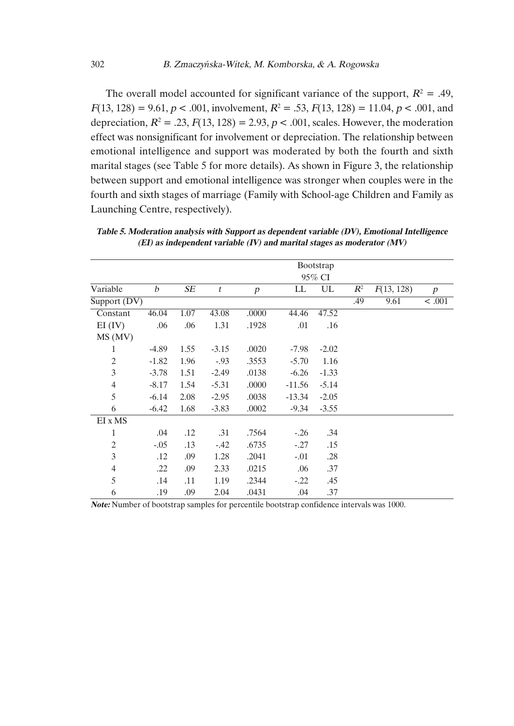The overall model accounted for significant variance of the support,  $R^2 = .49$ .  $F(13, 128) = 9.61, p < .001$ , involvement,  $R^2 = .53, F(13, 128) = 11.04, p < .001$ , and depreciation,  $R^2 = .23$ ,  $F(13, 128) = 2.93$ ,  $p < .001$ , scales. However, the moderation effect was nonsignificant for involvement or depreciation. The relationship between emotional intelligence and support was moderated by both the fourth and sixth marital stages (see Table 5 for more details). As shown in Figure 3, the relationship between support and emotional intelligence was stronger when couples were in the fourth and sixth stages of marriage (Family with School-age Children and Family as Launching Centre, respectively).

|                |                  |      |                  |                  |          | Bootstrap |       |            |        |
|----------------|------------------|------|------------------|------------------|----------|-----------|-------|------------|--------|
|                |                  |      |                  |                  |          | 95% CI    |       |            |        |
| Variable       | $\boldsymbol{b}$ | SE   | $\boldsymbol{t}$ | $\boldsymbol{p}$ | LL       | UL        | $R^2$ | F(13, 128) | p      |
| Support (DV)   |                  |      |                  |                  |          |           | .49   | 9.61       | < .001 |
| Constant       | 46.04            | 1.07 | 43.08            | .0000            | 44.46    | 47.52     |       |            |        |
| EI (IV)        | .06              | .06  | 1.31             | .1928            | .01      | .16       |       |            |        |
| MS (MV)        |                  |      |                  |                  |          |           |       |            |        |
| 1              | $-4.89$          | 1.55 | $-3.15$          | .0020            | $-7.98$  | $-2.02$   |       |            |        |
| $\mathfrak{2}$ | $-1.82$          | 1.96 | $-.93$           | .3553            | $-5.70$  | 1.16      |       |            |        |
| 3              | $-3.78$          | 1.51 | $-2.49$          | .0138            | $-6.26$  | $-1.33$   |       |            |        |
| $\overline{4}$ | $-8.17$          | 1.54 | $-5.31$          | .0000            | $-11.56$ | $-5.14$   |       |            |        |
| 5              | $-6.14$          | 2.08 | $-2.95$          | .0038            | $-13.34$ | $-2.05$   |       |            |        |
| 6              | $-6.42$          | 1.68 | $-3.83$          | .0002            | $-9.34$  | $-3.55$   |       |            |        |
| EI x MS        |                  |      |                  |                  |          |           |       |            |        |
| 1              | .04              | .12  | .31              | .7564            | $-.26$   | .34       |       |            |        |
| $\mathfrak{2}$ | $-.05$           | .13  | $-42$            | .6735            | $-0.27$  | .15       |       |            |        |
| 3              | .12              | .09  | 1.28             | .2041            | $-.01$   | .28       |       |            |        |
| $\overline{4}$ | .22              | .09  | 2.33             | .0215            | .06      | .37       |       |            |        |
| 5              | .14              | .11  | 1.19             | .2344            | $-.22$   | .45       |       |            |        |
| 6              | .19              | .09  | 2.04             | .0431            | .04      | .37       |       |            |        |

**Table 5. Moderation analysis with Support as dependent variable (DV), Emotional Intelligence (EI) as independent variable (IV) and marital stages as moderator (MV)**

**Note:** Number of bootstrap samples for percentile bootstrap confidence intervals was 1000.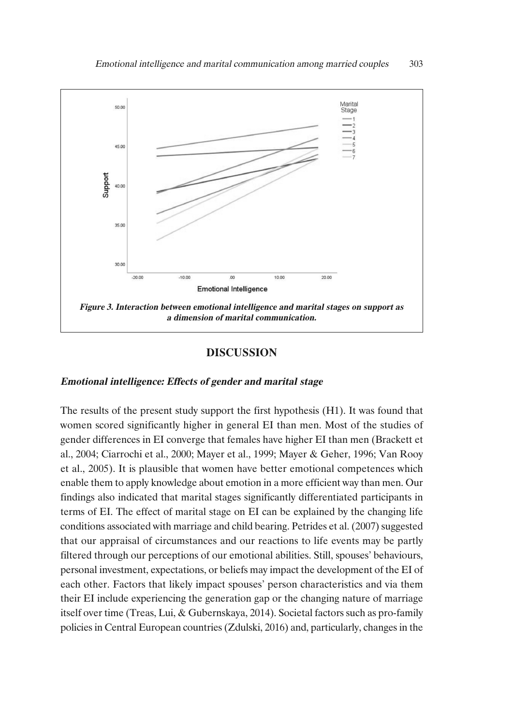

## **DISCUSSION**

#### **Emotional intelligence: Effects of gender and marital stage**

The results of the present study support the first hypothesis (H1). It was found that women scored significantly higher in general EI than men. Most of the studies of gender differences in EI converge that females have higher EI than men (Brackett et al., 2004; Ciarrochi et al., 2000; Mayer et al., 1999; Mayer & Geher, 1996; Van Rooy et al., 2005). It is plausible that women have better emotional competences which enable them to apply knowledge about emotion in a more efficient way than men. Our findings also indicated that marital stages significantly differentiated participants in terms of EI. The effect of marital stage on EI can be explained by the changing life conditions associated with marriage and child bearing. Petrides et al. (2007) suggested that our appraisal of circumstances and our reactions to life events may be partly filtered through our perceptions of our emotional abilities. Still, spouses' behaviours, personal investment, expectations, or beliefs may impact the development of the EI of each other. Factors that likely impact spouses' person characteristics and via them their EI include experiencing the generation gap or the changing nature of marriage itself over time (Treas, Lui, & Gubernskaya, 2014). Societal factors such as pro-family policies in Central European countries (Zdulski, 2016) and, particularly, changes in the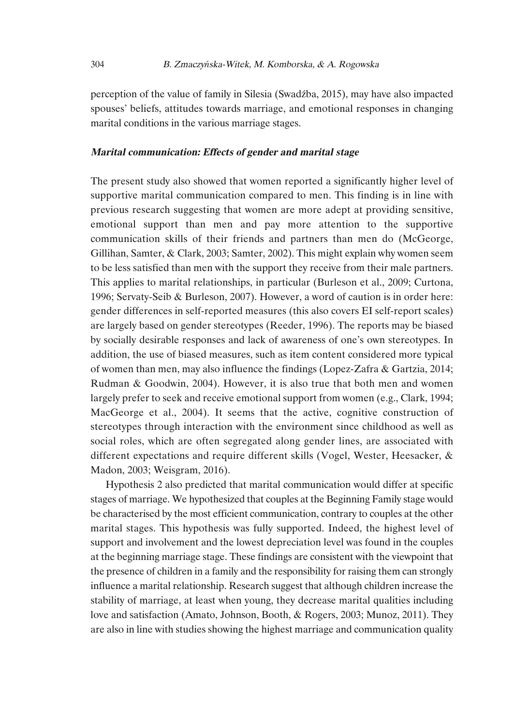perception of the value of family in Silesia (Swadźba, 2015), may have also impacted spouses' beliefs, attitudes towards marriage, and emotional responses in changing marital conditions in the various marriage stages.

#### **Marital communication: Effects of gender and marital stage**

The present study also showed that women reported a significantly higher level of supportive marital communication compared to men. This finding is in line with previous research suggesting that women are more adept at providing sensitive, emotional support than men and pay more attention to the supportive communication skills of their friends and partners than men do (McGeorge, Gillihan, Samter, & Clark, 2003; Samter, 2002). This might explain why women seem to be less satisfied than men with the support they receive from their male partners. This applies to marital relationships, in particular (Burleson et al., 2009; Curtona, 1996; Servaty-Seib & Burleson, 2007). However, a word of caution is in order here: gender differences in self-reported measures (this also covers EI self-report scales) are largely based on gender stereotypes (Reeder, 1996). The reports may be biased by socially desirable responses and lack of awareness of one's own stereotypes. In addition, the use of biased measures, such as item content considered more typical of women than men, may also influence the findings (Lopez-Zafra & Gartzia, 2014; Rudman & Goodwin, 2004). However, it is also true that both men and women largely prefer to seek and receive emotional support from women (e.g., Clark, 1994; MacGeorge et al., 2004). It seems that the active, cognitive construction of stereotypes through interaction with the environment since childhood as well as social roles, which are often segregated along gender lines, are associated with different expectations and require different skills (Vogel, Wester, Heesacker, & Madon, 2003; Weisgram, 2016).

Hypothesis 2 also predicted that marital communication would differ at specific stages of marriage. We hypothesized that couples at the Beginning Family stage would be characterised by the most efficient communication, contrary to couples at the other marital stages. This hypothesis was fully supported. Indeed, the highest level of support and involvement and the lowest depreciation level was found in the couples at the beginning marriage stage. These findings are consistent with the viewpoint that the presence of children in a family and the responsibility for raising them can strongly influence a marital relationship. Research suggest that although children increase the stability of marriage, at least when young, they decrease marital qualities including love and satisfaction (Amato, Johnson, Booth, & Rogers, 2003; Munoz, 2011). They are also in line with studies showing the highest marriage and communication quality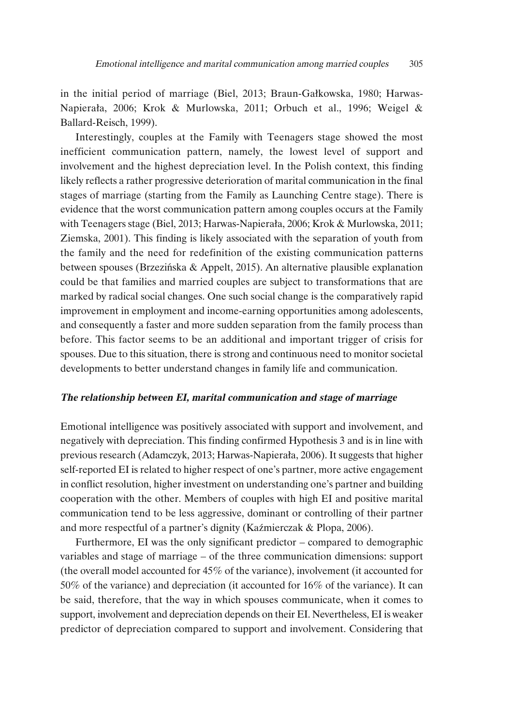in the initial period of marriage (Biel, 2013; Braun-Gałkowska, 1980; Harwas-Napierała, 2006; Krok & Murlowska, 2011; Orbuch et al., 1996; Weigel & Ballard-Reisch, 1999).

Interestingly, couples at the Family with Teenagers stage showed the most inefficient communication pattern, namely, the lowest level of support and involvement and the highest depreciation level. In the Polish context, this finding likely reflects a rather progressive deterioration of marital communication in the final stages of marriage (starting from the Family as Launching Centre stage). There is evidence that the worst communication pattern among couples occurs at the Family with Teenagers stage (Biel, 2013; Harwas-Napierała, 2006; Krok & Murlowska, 2011; Ziemska, 2001). This finding is likely associated with the separation of youth from the family and the need for redefinition of the existing communication patterns between spouses (Brzezińska & Appelt, 2015). An alternative plausible explanation could be that families and married couples are subject to transformations that are marked by radical social changes. One such social change is the comparatively rapid improvement in employment and income-earning opportunities among adolescents, and consequently a faster and more sudden separation from the family process than before. This factor seems to be an additional and important trigger of crisis for spouses. Due to this situation, there is strong and continuous need to monitor societal developments to better understand changes in family life and communication.

## **The relationship between EI, marital communication and stage of marriage**

Emotional intelligence was positively associated with support and involvement, and negatively with depreciation. This finding confirmed Hypothesis 3 and is in line with previous research (Adamczyk, 2013; Harwas-Napierała, 2006). It suggests that higher self-reported EI is related to higher respect of one's partner, more active engagement in conflict resolution, higher investment on understanding one's partner and building cooperation with the other. Members of couples with high EI and positive marital communication tend to be less aggressive, dominant or controlling of their partner and more respectful of a partner's dignity (Kaźmierczak & Plopa, 2006).

Furthermore, EI was the only significant predictor – compared to demographic variables and stage of marriage – of the three communication dimensions: support (the overall model accounted for 45% of the variance), involvement (it accounted for 50% of the variance) and depreciation (it accounted for 16% of the variance). It can be said, therefore, that the way in which spouses communicate, when it comes to support, involvement and depreciation depends on their EI. Nevertheless, EI is weaker predictor of depreciation compared to support and involvement. Considering that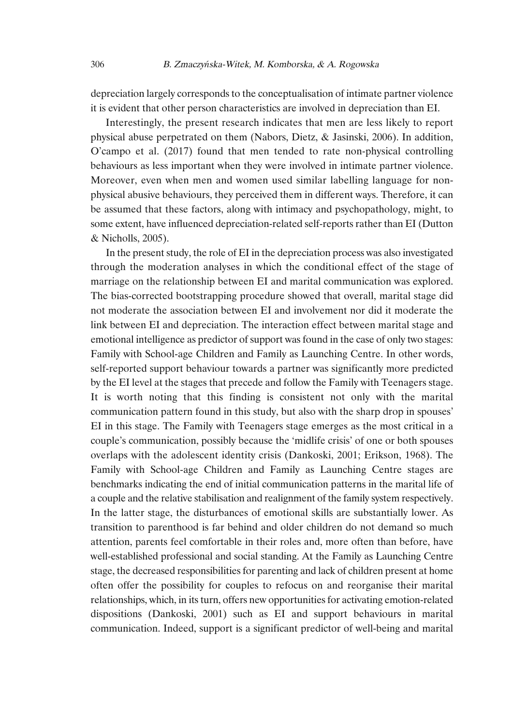depreciation largely corresponds to the conceptualisation of intimate partner violence it is evident that other person characteristics are involved in depreciation than EI.

Interestingly, the present research indicates that men are less likely to report physical abuse perpetrated on them (Nabors, Dietz, & Jasinski, 2006). In addition, O'campo et al. (2017) found that men tended to rate non-physical controlling behaviours as less important when they were involved in intimate partner violence. Moreover, even when men and women used similar labelling language for nonphysical abusive behaviours, they perceived them in different ways. Therefore, it can be assumed that these factors, along with intimacy and psychopathology, might, to some extent, have influenced depreciation-related self-reports rather than EI (Dutton & Nicholls, 2005).

In the present study, the role of EI in the depreciation process was also investigated through the moderation analyses in which the conditional effect of the stage of marriage on the relationship between EI and marital communication was explored. The bias-corrected bootstrapping procedure showed that overall, marital stage did not moderate the association between EI and involvement nor did it moderate the link between EI and depreciation. The interaction effect between marital stage and emotional intelligence as predictor of support was found in the case of only two stages: Family with School-age Children and Family as Launching Centre. In other words, self-reported support behaviour towards a partner was significantly more predicted by the EI level at the stages that precede and follow the Family with Teenagers stage. It is worth noting that this finding is consistent not only with the marital communication pattern found in this study, but also with the sharp drop in spouses' EI in this stage. The Family with Teenagers stage emerges as the most critical in a couple's communication, possibly because the 'midlife crisis' of one or both spouses overlaps with the adolescent identity crisis (Dankoski, 2001; Erikson, 1968). The Family with School-age Children and Family as Launching Centre stages are benchmarks indicating the end of initial communication patterns in the marital life of a couple and the relative stabilisation and realignment of the family system respectively. In the latter stage, the disturbances of emotional skills are substantially lower. As transition to parenthood is far behind and older children do not demand so much attention, parents feel comfortable in their roles and, more often than before, have well-established professional and social standing. At the Family as Launching Centre stage, the decreased responsibilities for parenting and lack of children present at home often offer the possibility for couples to refocus on and reorganise their marital relationships, which, in itsturn, offers new opportunitiesfor activating emotion-related dispositions (Dankoski, 2001) such as EI and support behaviours in marital communication. Indeed, support is a significant predictor of well-being and marital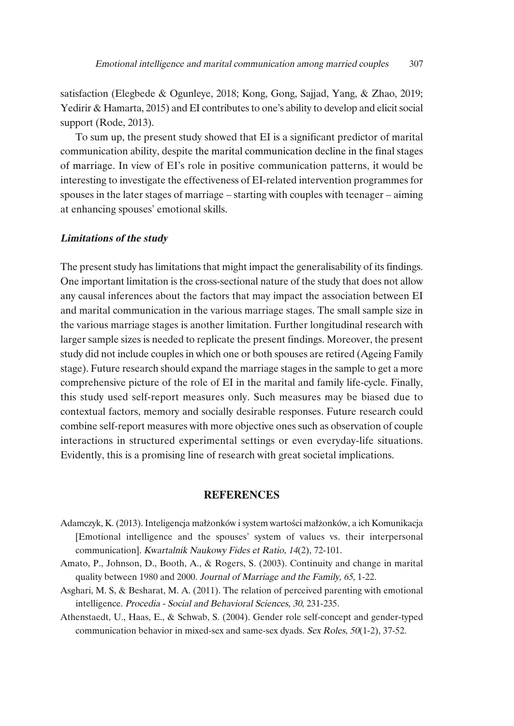satisfaction (Elegbede & Ogunleye, 2018; Kong, Gong, Sajjad, Yang, & Zhao, 2019; Yedirir & Hamarta, 2015) and EI contributes to one's ability to develop and elicit social support (Rode, 2013).

To sum up, the present study showed that EI is a significant predictor of marital communication ability, despite the marital communication decline in the final stages of marriage. In view of EI's role in positive communication patterns, it would be interesting to investigate the effectiveness of EI-related intervention programmes for spouses in the later stages of marriage – starting with couples with teenager – aiming at enhancing spouses' emotional skills.

#### **Limitations of the study**

The present study has limitations that might impact the generalisability of its findings. One important limitation is the cross-sectional nature of the study that does not allow any causal inferences about the factors that may impact the association between EI and marital communication in the various marriage stages. The small sample size in the various marriage stages is another limitation. Further longitudinal research with larger sample sizes is needed to replicate the present findings. Moreover, the present study did not include couples in which one or both spouses are retired (Ageing Family stage). Future research should expand the marriage stages in the sample to get a more comprehensive picture of the role of EI in the marital and family life-cycle. Finally, this study used self-report measures only. Such measures may be biased due to contextual factors, memory and socially desirable responses. Future research could combine self-report measures with more objective ones such as observation of couple interactions in structured experimental settings or even everyday-life situations. Evidently, this is a promising line of research with great societal implications.

## **REFERENCES**

- Adamczyk, K. (2013). Inteligencja małżonków i system wartości małżonków, a ich Komunikacja [Emotional intelligence and the spouses' system of values vs. their interpersonal communication]. Kwartalnik Naukowy Fides et Ratio, <sup>14</sup>(2), 72-101.
- Amato, P., Johnson, D., Booth, A., & Rogers, S. (2003). Continuity and change in marital quality between 1980 and 2000. Journal of Marriage and the Family, 65, 1-22.
- Asghari, M. S, & Besharat, M. A. (2011). The relation of perceived parenting with emotional intelligence. Procedia - Social and Behavioral Sciences, <sup>30</sup>, 231-235.
- Athenstaedt, U., Haas, E., & Schwab, S. (2004). Gender role self-concept and gender-typed communication behavior in mixed-sex and same-sex dyads. Sex Roles, <sup>50</sup>(1-2), 37-52.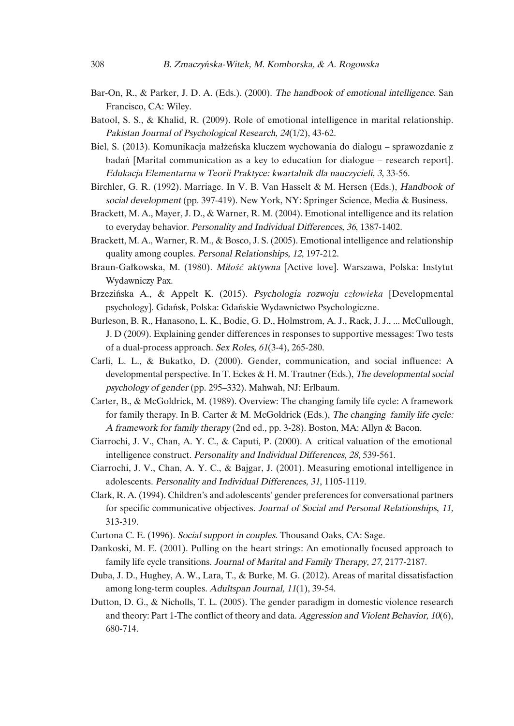- Bar-On, R., & Parker, J. D. A. (Eds.). (2000). The handbook of emotional intelligence. San Francisco, CA: Wiley.
- Batool, S. S., & Khalid, R. (2009). Role of emotional intelligence in marital relationship. Pakistan Journal of Psychological Research, <sup>24</sup>(1/2), 43-62.
- Biel, S. (2013). Komunikacja małżeńska kluczem wychowania do dialogu sprawozdanie z badań [Marital communication as a key to education for dialogue – research report]. Edukacja Elementarna <sup>w</sup> Teorii Praktyce: kwartalnik dla nauczycieli, <sup>3</sup>, 33-56.
- Birchler, G. R. (1992). Marriage. In V. B. Van Hasselt & M. Hersen (Eds.), Handbook of social development (pp. 397-419). New York, NY: Springer Science, Media & Business.
- Brackett, M. A., Mayer, J. D., & Warner, R. M. (2004). Emotional intelligence and its relation to everyday behavior. Personality and Individual Differences, <sup>36</sup>, 1387-1402.
- Brackett, M. A., Warner, R. M., & Bosco, J. S. (2005). Emotional intelligence and relationship quality among couples. Personal Relationships, 12, 197-212.
- Braun-Gałkowska, M. (1980). Mi*łość* aktywna [Active love]. Warszawa, Polska: Instytut Wydawniczy Pax.
- Brzezińska A., & Appelt K. (2015). Psychologia rozwoju *człowieka* [Developmental psychology]. Gdańsk, Polska: Gdańskie Wydawnictwo Psychologiczne.
- Burleson, B. R., Hanasono, L. K., Bodie, G. D., Holmstrom, A. J., Rack, J. J., ... McCullough, J. D (2009). Explaining gender differences in responses to supportive messages: Two tests of a dual-process approach. Sex Roles, <sup>61</sup>(3-4), 265-280.
- Carli, L. L., & Bukatko, D. (2000). Gender, communication, and social influence: A developmental perspective. In T. Eckes & H. M. Trautner (Eds.), The developmental social psychology of gender (pp. 295–332). Mahwah, NJ: Erlbaum.
- Carter, B., & McGoldrick, M. (1989). Overview: The changing family life cycle: A framework for family therapy. In B. Carter & M. McGoldrick (Eds.), The changing family life cycle: <sup>A</sup> framework for family therapy (2nd ed., pp. 3-28). Boston, MA: Allyn & Bacon.
- Ciarrochi, J. V., Chan, A. Y. C., & Caputi, P. (2000). A critical valuation of the emotional intelligence construct. Personality and Individual Differences, <sup>28</sup>, 539-561.
- Ciarrochi, J. V., Chan, A. Y. C., & Bajgar, J. (2001). Measuring emotional intelligence in adolescents. Personality and Individual Differences, <sup>31</sup>, 1105-1119.
- Clark, R. A. (1994). Children's and adolescents' gender preferences for conversational partners for specific communicative objectives. Journal of Social and Personal Relationships, 11, 313-319.
- Curtona C. E. (1996). Social support in couples. Thousand Oaks, CA: Sage.
- Dankoski, M. E. (2001). Pulling on the heart strings: An emotionally focused approach to family life cycle transitions. Journal of Marital and Family Therapy, <sup>27</sup>, 2177-2187.
- Duba, J. D., Hughey, A. W., Lara, T., & Burke, M. G. (2012). Areas of marital dissatisfaction among long-term couples. Adultspan Journal, <sup>11</sup>(1), 39-54.
- Dutton, D. G., & Nicholls, T. L. (2005). The gender paradigm in domestic violence research and theory: Part 1-The conflict of theory and data. Aggression and Violent Behavior, <sup>10</sup>(6), 680-714.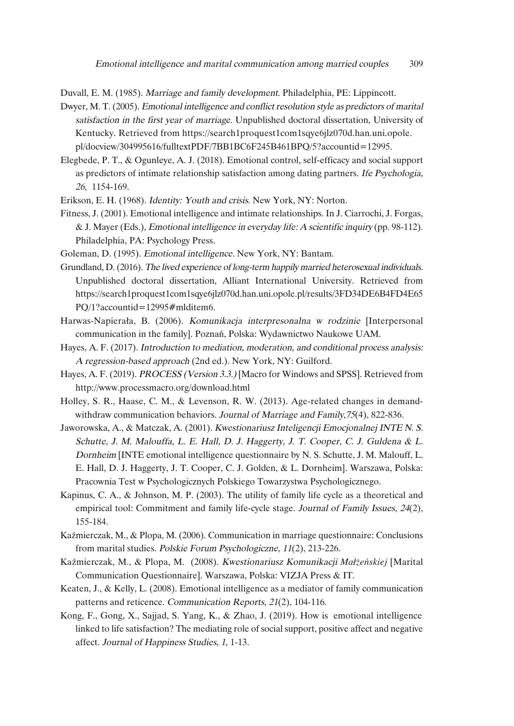Duvall, E. M. (1985). Marriage and family development. Philadelphia, PE: Lippincott.

Dwyer, M. T. (2005). Emotional intelligence and conflict resolution style as predictors of marital satisfaction in the first year of marriage. Unpublished doctoral dissertation, University of Kentucky. Retrieved from https://search1proquest1com1sqye6jlz070d.han.uni.opole. pl/docview/304995616/fulltextPDF/7BB1BC6F245B461BPQ/5?accountid=12995.

Elegbede, P. T., & Ogunleye, A. J. (2018). Emotional control, self-efficacy and social support as predictors of intimate relationship satisfaction among dating partners. Ife Psychologia, <sup>26</sup>, 1154-169.

Erikson, E. H. (1968). Identity: Youth and crisis. New York, NY: Norton.

Fitness, J. (2001). Emotional intelligence and intimate relationships. In J. Ciarrochi, J. Forgas, & J. Mayer (Eds.), Emotional intelligence in everyday life: <sup>A</sup> scientific inquiry (pp. 98-112). Philadelphia, PA: Psychology Press.

Goleman, D. (1995). Emotional intelligence. New York, NY: Bantam.

- Grundland, D.(2016). The lived experience of long-term happily married heterosexual individuals. Unpublished doctoral dissertation, Alliant International University. Retrieved from https://search1proquest1com1sqye6jlz070d.han.uni.opole.pl/results/3FD34DE6B4FD4E65 PQ/1?accountid=12995#mlditem6.
- Harwas-Napierała, B. (2006). Komunikacja interpresonalna <sup>w</sup> rodzinie [Interpersonal communication in the family]. Poznań, Polska: Wydawnictwo Naukowe UAM.
- Hayes, A. F. (2017). Introduction to mediation, moderation, and conditional process analysis: <sup>A</sup> regression-based approach (2nd ed.). New York, NY: Guilford.
- Hayes, A. F. (2019). PROCESS (Version 3.3.) [Macro for Windows and SPSS]. Retrieved from http://www.processmacro.org/download.html
- Holley, S. R., Haase, C. M., & Levenson, R. W. (2013). Age-related changes in demandwithdraw communication behaviors. Journal of Marriage and Family, 75(4), 822-836.
- Jaworowska, A., & Matczak, A. (2001). Kwestionariusz Inteligencji Emocjonalnej INTE N. S. Schutte, J. M. Malouffa, L. E. Hall, D. J. Haggerty, J. T. Cooper, C. J. Guldena & L. Dornheim [INTE emotional intelligence questionnaire by N. S. Schutte, J. M. Malouff, L. E. Hall, D. J. Haggerty, J. T. Cooper, C. J. Golden, & L. Dornheim]. Warszawa, Polska: Pracownia Test w Psychologicznych Polskiego Towarzystwa Psychologicznego.
- Kapinus, C. A., & Johnson, M. P. (2003). The utility of family life cycle as a theoretical and empirical tool: Commitment and family life-cycle stage. Journal of Family Issues, 24(2), 155-184.
- Kaźmierczak, M., & Plopa, M. (2006). Communication in marriage questionnaire: Conclusions from marital studies. Polskie Forum Psychologiczne, <sup>11</sup>(2), 213-226.
- Kaźmierczak, M., & Plopa, M. (2008). Kwestionariusz Komunikacji *Małżeńskiej* [Marital Communication Questionnaire]. Warszawa, Polska: VIZJA Press & IT.
- Keaten, J., & Kelly, L. (2008). Emotional intelligence as a mediator of family communication patterns and reticence. Communication Reports, <sup>21</sup>(2), 104-116.
- Kong, F., Gong, X., Sajjad, S. Yang, K., & Zhao, J. (2019). How is emotional intelligence linked to life satisfaction? The mediating role of social support, positive affect and negative affect. Journal of Happiness Studies, <sup>1</sup>, 1-13.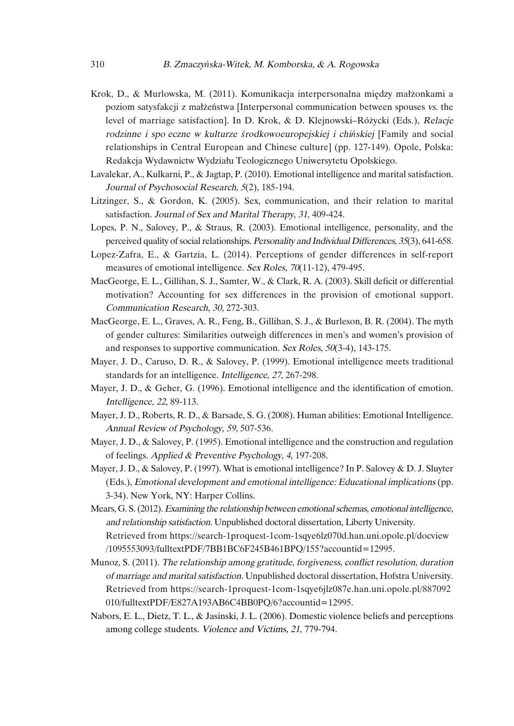- Krok, D., & Murlowska, M. (2011). Komunikacja interpersonalna między małżonkami a poziom satysfakcji z małżeństwa [Interpersonal communication between spouses vs. the level of marriage satisfaction]. In D. Krok, & D. Klejnowski–Różycki (Eds.), Relacje rodzinne <sup>i</sup> spo eczne <sup>w</sup> kulturze *ś*rodkowoeuropejskiej <sup>i</sup> chi*ń*skiej [Family and social relationships in Central European and Chinese culture] (pp. 127-149). Opole, Polska: Redakcja Wydawnictw Wydziału Teologicznego Uniwersytetu Opolskiego.
- Lavalekar, A., Kulkarni, P., & Jagtap, P. (2010). Emotional intelligence and marital satisfaction. Journal of Psychosocial Research, <sup>5</sup>(2), 185-194.
- Litzinger, S., & Gordon, K. (2005). Sex, communication, and their relation to marital satisfaction. Journal of Sex and Marital Therapy, <sup>31</sup>, 409-424.
- Lopes, P. N., Salovey, P., & Straus, R. (2003). Emotional intelligence, personality, and the perceived quality of social relationships. Personality and Individual Differences, 35(3), 641-658.
- Lopez-Zafra, E., & Gartzia, L. (2014). Perceptions of gender differences in self-report measures of emotional intelligence. Sex Roles, 70(11-12), 479-495.
- MacGeorge, E. L., Gillihan, S. J., Samter, W., & Clark, R. A. (2003). Skill deficit or differential motivation? Accounting for sex differences in the provision of emotional support. Communication Research, 30, 272-303.
- MacGeorge, E. L., Graves, A. R., Feng, B., Gillihan, S. J., & Burleson, B. R. (2004). The myth of gender cultures: Similarities outweigh differences in men's and women's provision of and responses to supportive communication. Sex Roles, 50(3-4), 143-175.
- Mayer, J. D., Caruso, D. R., & Salovey, P. (1999). Emotional intelligence meets traditional standards for an intelligence. Intelligence, <sup>27</sup>, 267-298.
- Mayer, J. D., & Geher, G. (1996). Emotional intelligence and the identification of emotion. Intelligence, <sup>22</sup>, 89-113.
- Mayer, J. D., Roberts, R. D., & Barsade, S. G. (2008). Human abilities: Emotional Intelligence. Annual Review of Psychology, <sup>59</sup>, 507-536.
- Mayer, J. D., & Salovey, P. (1995). Emotional intelligence and the construction and regulation of feelings. Applied & Preventive Psychology, <sup>4</sup>, 197-208.
- Mayer, J. D., & Salovey, P. (1997). What is emotional intelligence? In P. Salovey & D. J. Sluyter (Eds.), Emotional development and emotional intelligence: Educational implications (pp. 3-34). New York, NY: Harper Collins.
- Mears, G. S. (2012). Examining the relationship between emotional schemas, emotional intelligence, and relationship satisfaction. Unpublished doctoral dissertation, Liberty University. Retrieved from https://search-1proquest-1com-1sqye6lz070d.han.uni.opole.pl/docview /1095553093/fulltextPDF/7BB1BC6F245B461BPQ/155?accountid=12995.
- Munoz, S. (2011). The relationship among gratitude, forgiveness, conflict resolution, duration of marriage and marital satisfaction. Unpublished doctoral dissertation, Hofstra University. Retrieved from https://search-1proquest-1com-1sqye6jlz087e.han.uni.opole.pl/887092 010/fulltextPDF/E827A193AB6C4BB0PQ/6?accountid=12995.
- Nabors, E. L., Dietz, T. L., & Jasinski, J. L. (2006). Domestic violence beliefs and perceptions among college students. Violence and Victims, <sup>21</sup>, 779-794.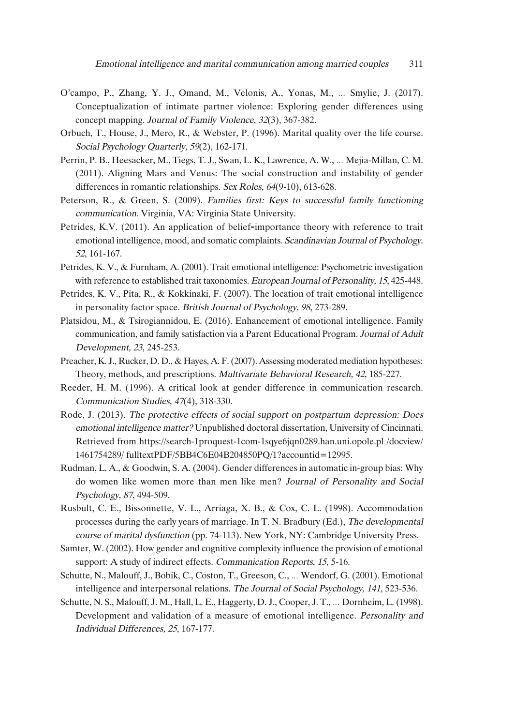- O'campo, P., Zhang, Y. J., Omand, M., Velonis, A., Yonas, M., … Smylie, J. (2017). Conceptualization of intimate partner violence: Exploring gender differences using concept mapping. Journal of Family Violence, <sup>32</sup>(3), 367-382.
- Orbuch, T., House, J., Mero, R., & Webster, P. (1996). Marital quality over the life course. Social Psychology Quarterly, 59(2), 162-171.
- Perrin, P. B., Heesacker, M., Tiegs, T. J., Swan, L. K., Lawrence, A. W., … Mejia-Millan, C. M. (2011). Aligning Mars and Venus: The social construction and instability of gender differences in romantic relationships. Sex Roles, <sup>64</sup>(9-10), 613-628.
- Peterson, R., & Green, S. (2009). Families first: Keys to successful family functioning communication. Virginia, VA: Virginia State University.
- Petrides, K.V. (2011). An application of belief-importance theory with reference to trait emotional intelligence, mood, and somatic complaints. Scandinavian Journal of Psychology. <sup>52</sup>, 161-167.
- Petrides, K. V., & Furnham, A. (2001). Trait emotional intelligence: Psychometric investigation with reference to established trait taxonomies. European Journal of Personality, <sup>15</sup>, 425-448.
- Petrides, K. V., Pita, R., & Kokkinaki, F. (2007). The location of trait emotional intelligence in personality factor space. British Journal of Psychology, <sup>98</sup>, 273-289.
- Platsidou, M., & Tsirogiannidou, E. (2016). Enhancement of emotional intelligence. Family communication, and family satisfaction via a Parent Educational Program. Journal of Adult Development, <sup>23</sup>, 245-253.
- Preacher, K. J., Rucker, D. D., & Hayes, A. F.(2007). Assessing moderated mediation hypotheses: Theory, methods, and prescriptions. Multivariate Behavioral Research, <sup>42</sup>, 185-227.
- Reeder, H. M. (1996). A critical look at gender difference in communication research. Communication Studies, <sup>47</sup>(4), 318-330.
- Rode, J. (2013). The protective effects of social support on postpartum depression: Does emotional intelligence matter? Unpublished doctoral dissertation, University of Cincinnati. Retrieved from https://search-1proquest-1com-1sqye6jqn0289.han.uni.opole.pl /docview/ 1461754289/ fulltextPDF/5BB4C6E04B204850PQ/1?accountid=12995.
- Rudman, L. A., & Goodwin, S. A. (2004). Gender differences in automatic in-group bias: Why do women like women more than men like men? Journal of Personality and Social Psychology, <sup>87</sup>, 494-509.
- Rusbult, C. E., Bissonnette, V. L., Arriaga, X. B., & Cox, C. L. (1998). Accommodation processes during the early years of marriage. In T. N. Bradbury (Ed.), The developmental course of marital dysfunction (pp. 74-113). New York, NY: Cambridge University Press.
- Samter, W. (2002). How gender and cognitive complexity influence the provision of emotional support: A study of indirect effects. Communication Reports, 15, 5-16.
- Schutte, N., Malouff, J., Bobik, C., Coston, T., Greeson, C., … Wendorf, G. (2001). Emotional intelligence and interpersonal relations. The Journal of Social Psychology, 141, 523-536.
- Schutte, N. S., Malouff, J. M., Hall, L. E., Haggerty, D. J., Cooper, J. T., … Dornheim, L. (1998). Development and validation of a measure of emotional intelligence. Personality and Individual Differences, 25, 167-177.